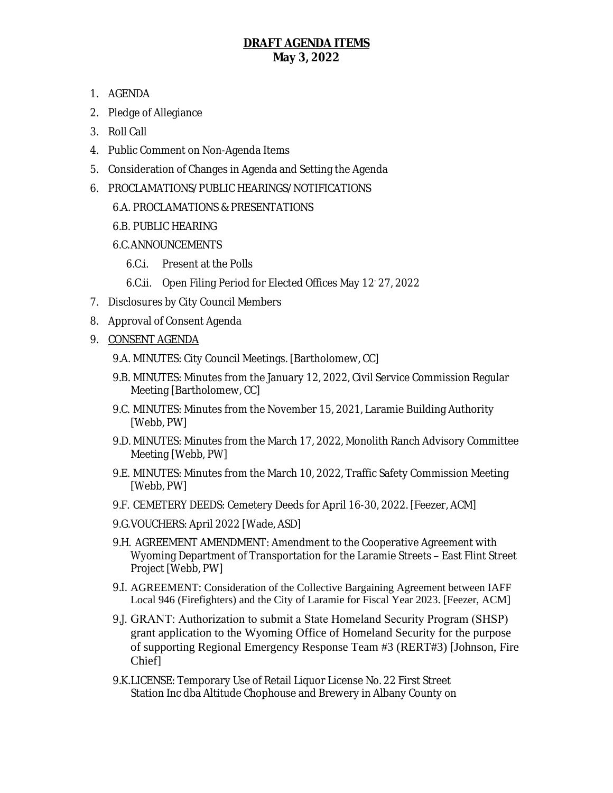## **DRAFT AGENDA ITEMS May 3, 2022**

- 1. AGENDA
- 2. Pledge of Allegiance
- 3. Roll Call
- 4. Public Comment on Non-Agenda Items
- 5. Consideration of Changes in Agenda and Setting the Agenda
- 6. PROCLAMATIONS/PUBLIC HEARINGS/NOTIFICATIONS
	- 6.A. PROCLAMATIONS & PRESENTATIONS
	- 6.B. PUBLIC HEARING
	- 6.C.ANNOUNCEMENTS
		- 6.C.i. Present at the Polls
		- 6.C.ii. Open Filing Period for Elected Offices May 12- 27, 2022
- 7. Disclosures by City Council Members
- 8. Approval of Consent Agenda
- 9. CONSENT AGENDA
	- 9.A. MINUTES: City Council Meetings. [Bartholomew, CC]
	- 9.B. MINUTES: Minutes from the January 12, 2022, Civil Service Commission Regular Meeting [Bartholomew, CC]
	- 9.C. MINUTES: Minutes from the November 15, 2021, Laramie Building Authority [Webb, PW]
	- 9.D. MINUTES: Minutes from the March 17, 2022, Monolith Ranch Advisory Committee Meeting [Webb, PW]
	- 9.E. MINUTES: Minutes from the March 10, 2022, Traffic Safety Commission Meeting [Webb, PW]
	- 9.F. CEMETERY DEEDS: Cemetery Deeds for April 16-30, 2022. [Feezer, ACM]
	- 9.G.VOUCHERS: April 2022 [Wade, ASD]
	- 9.H. AGREEMENT AMENDMENT: Amendment to the Cooperative Agreement with Wyoming Department of Transportation for the Laramie Streets – East Flint Street Project [Webb, PW]
	- 9.I. AGREEMENT: Consideration of the Collective Bargaining Agreement between IAFF Local 946 (Firefighters) and the City of Laramie for Fiscal Year 2023. [Feezer, ACM]
	- 9.J. GRANT: Authorization to submit a State Homeland Security Program (SHSP) grant application to the Wyoming Office of Homeland Security for the purpose of supporting Regional Emergency Response Team #3 (RERT#3) [Johnson, Fire Chief]
	- 9.K.LICENSE: Temporary Use of Retail Liquor License No. 22 First Street Station Inc dba Altitude Chophouse and Brewery in Albany County on